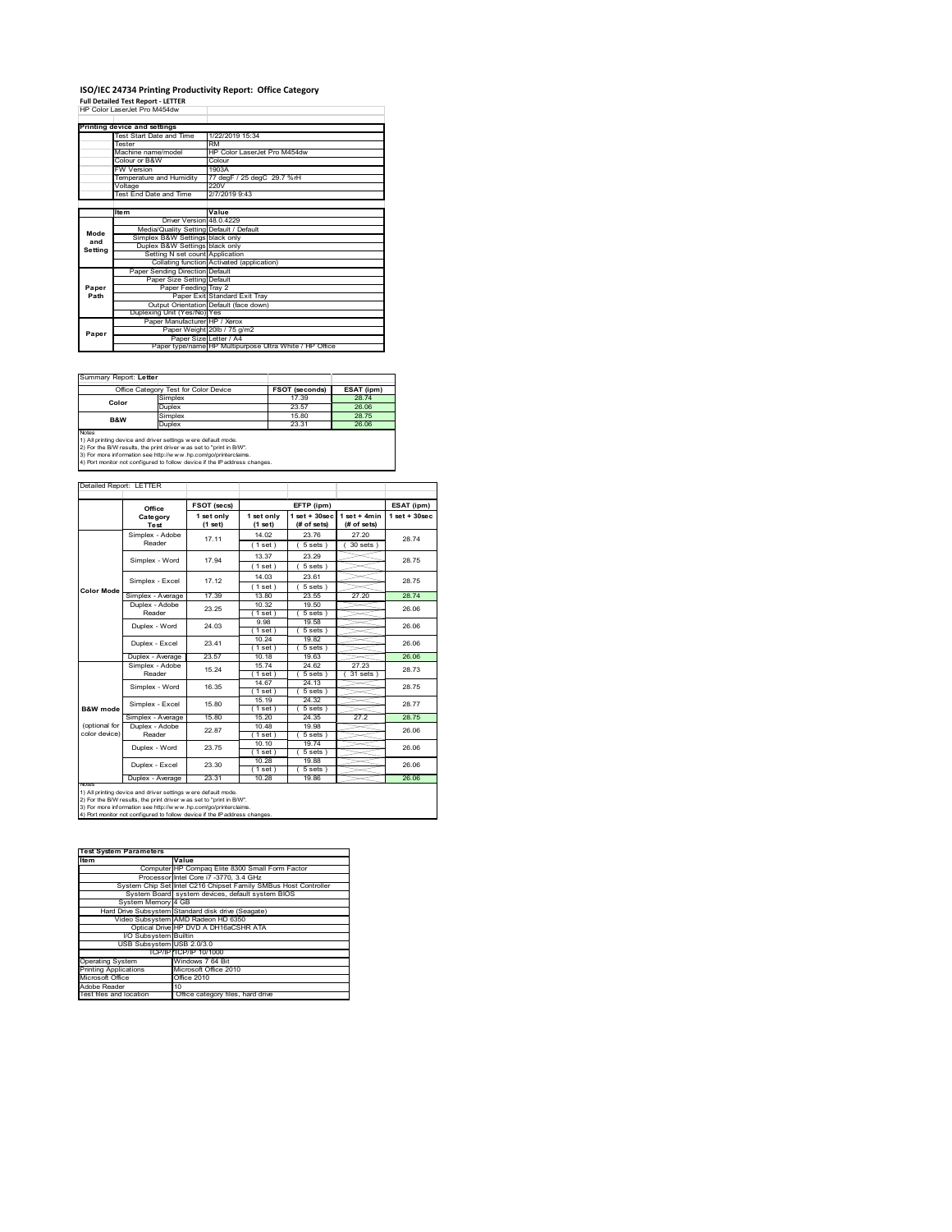## **ISO/IEC 24734 Printing Productivity Report: Office Category Full Detailed Test Report ‐ LETTER** HP Color LaserJet Pro M454dw

|         | Printing device and settings            |                                                         |  |  |
|---------|-----------------------------------------|---------------------------------------------------------|--|--|
|         | Test Start Date and Time                | 1/22/2019 15:34                                         |  |  |
|         | <b>Tester</b>                           | RM                                                      |  |  |
|         | Machine name/model                      | HP Color LaserJet Pro M454dw                            |  |  |
|         | Colour or B&W                           | Colour                                                  |  |  |
|         | <b>FW Version</b>                       | 1903A                                                   |  |  |
|         | Temperature and Humidity                | 77 degF / 25 degC 29.7 %rH                              |  |  |
|         | Voltage                                 | 220V                                                    |  |  |
|         | <b>Test End Date and Time</b>           | 2/7/2019 9:43                                           |  |  |
|         |                                         |                                                         |  |  |
|         | <b>Item</b>                             | Value                                                   |  |  |
|         | Driver Version 48.0.4229                |                                                         |  |  |
| Mode    | Media/Quality Setting Default / Default |                                                         |  |  |
| and     | Simplex B&W Settings black only         |                                                         |  |  |
| Settina | Duplex B&W Settings black only          |                                                         |  |  |
|         | Setting N set count Application         |                                                         |  |  |
|         |                                         | Collating function Activated (application)              |  |  |
|         | Paper Sending Direction Default         |                                                         |  |  |
|         | Paper Size Setting Default              |                                                         |  |  |
| Paper   | Paper Feeding Tray 2                    |                                                         |  |  |
| Path    |                                         | Paper Exit Standard Exit Tray                           |  |  |
|         |                                         | Output Orientation Default (face down)                  |  |  |
|         | Duplexing Unit (Yes/No) Yes             |                                                         |  |  |
|         | Paper Manufacturer HP / Xerox           |                                                         |  |  |
| Paper   |                                         | Paper Weight 20lb / 75 g/m2                             |  |  |
|         | Paper Size Letter / A4                  |                                                         |  |  |
|         |                                         | Paper type/name HP Multipurpose Ultra White / HP Office |  |  |

Summary Report: **Letter**

|                                                               | Office Category Test for Color Device | <b>FSOT (seconds)</b> | ESAT (ipm) |  |  |  |
|---------------------------------------------------------------|---------------------------------------|-----------------------|------------|--|--|--|
| Color                                                         | Simplex                               | 17.39                 | 28.74      |  |  |  |
|                                                               | Duplex                                | 23.57                 | 26.06      |  |  |  |
| <b>B&amp;W</b>                                                | Simplex                               | 15.80                 | 2875       |  |  |  |
|                                                               | Duplex                                | 23.31                 | 26.06      |  |  |  |
| <b>Notes</b>                                                  |                                       |                       |            |  |  |  |
| 1) All printing device and driver settings were default mode. |                                       |                       |            |  |  |  |

1) All printing device and driver settings were default mode.<br>2) For the B/W results, the print driver was set to "print in B/W".<br>3) For more information see http://www.hp.com/go/printerclaims.<br>4) Port monitor not configur

| Detailed Report: LETTER        |                           |                       |                       |                                   |                               |                  |
|--------------------------------|---------------------------|-----------------------|-----------------------|-----------------------------------|-------------------------------|------------------|
|                                | Office                    | FSOT (secs)           |                       | EFTP (ipm)                        |                               | ESAT (ipm)       |
|                                | Category<br>Test          | 1 set only<br>(1 set) | 1 set only<br>(1 set) | $1$ set + $30$ sec<br>(# of sets) | $1$ set + 4min<br>(# of sets) | $1$ set + 30sec. |
|                                | Simplex - Adobe<br>Reader | 17.11                 | 14.02<br>(1 set)      | 23.76<br>$5 sets$ )               | 27.20<br>30 sets )            | 2874             |
|                                | Simplex - Word            | 17 94                 | 13.37<br>(1 set)      | 23.29<br>$5 sets$ )               |                               | 28.75            |
|                                | Simplex - Excel           | 17.12                 | 14.03<br>(1 set)      | 23.61<br>$5 sets$ )               |                               | 28 75            |
| <b>Color Mode</b>              | Simplex - Average         | 17.39                 | 13.80                 | 23.55                             | 27.20                         | 28.74            |
|                                | Duplex - Adobe<br>Reader  | 23 25                 | 10.32<br>(1 set)      | 19.50<br>5 sets)                  |                               | 26.06            |
|                                | Duplex - Word             | 24.03                 | 9.98<br>(1 set)       | 19.58<br>5 sets)                  |                               | 26.06            |
|                                | Duplex - Excel            | 23 41                 | 10.24<br>$1$ set      | 19.82<br>5 sets)                  |                               | 26.06            |
|                                | Duplex - Average          | 23.57                 | 10.18                 | 19.63                             |                               | 26.06            |
|                                | Simplex - Adobe<br>Reader | 15 24                 | 15.74<br>1 set 1      | 24.62<br>5 sets                   | 27.23<br>31 sets              | 28 73            |
|                                | Simplex - Word            | 16.35                 | 14.67<br>$1$ set      | 24.13<br>5 sets)                  |                               | 28 75            |
| B&W mode                       | Simplex - Excel           | 15.80                 | 15.19<br>(1 set )     | 24.32<br>$5 sets$ )               |                               | 28.77            |
|                                | Simplex - Average         | 15.80                 | 15 20                 | 24.35                             | 27.2                          | 2875             |
| (optional for<br>color device) | Duplex - Adobe<br>Reader  | 22.87                 | 10.48<br>(1 set )     | 19.98<br>5 sets)                  |                               | 26.06            |
|                                | Duplex - Word             | 23 75                 | 10.10<br>$1$ set)     | 1974<br>$5 sets$ )                |                               | 26.06            |
|                                | Duplex - Excel            | 23.30                 | 10.28<br>(1 set)      | 19.88<br>$5 sets$ )               |                               | 26.06            |
|                                | Duplex - Average          | 23.31                 | 10.28                 | 19.86                             |                               | 26.06            |

1) All printing device and driver settings were default mode.<br>2) For the B/W results, the print driver was set to "print in B/W".<br>3) For more information see http://www.hp.com/go/printerclaims.<br>4) Port monitor not configur

**Test System Parameters**

| 1531 UV305 III F& I& III5 05 IS |                                                                 |
|---------------------------------|-----------------------------------------------------------------|
| Item                            | Value                                                           |
|                                 | Computer HP Compag Elite 8300 Small Form Factor                 |
|                                 | Processor Intel Core i7 -3770, 3.4 GHz                          |
|                                 | System Chip Set Intel C216 Chipset Family SMBus Host Controller |
|                                 | System Board system devices, default system BIOS                |
| System Memory 4 GB              |                                                                 |
|                                 | Hard Drive Subsystem Standard disk drive (Seagate)              |
|                                 | Video Subsystem AMD Radeon HD 6350                              |
|                                 | Optical Drive HP DVD A DH16aCSHR ATA                            |
| I/O Subsystem Builtin           |                                                                 |
| USB Subsystem USB 2.0/3.0       |                                                                 |
|                                 | TCP/IPITCP/IP 10/1000                                           |
| <b>Operating System</b>         | Windows 7 64 Bit                                                |
| <b>Printing Applications</b>    | Microsoft Office 2010                                           |
| Microsoft Office                | Office 2010                                                     |
| Adobe Reader                    | 10                                                              |
| Test files and location         | Office category files, hard drive                               |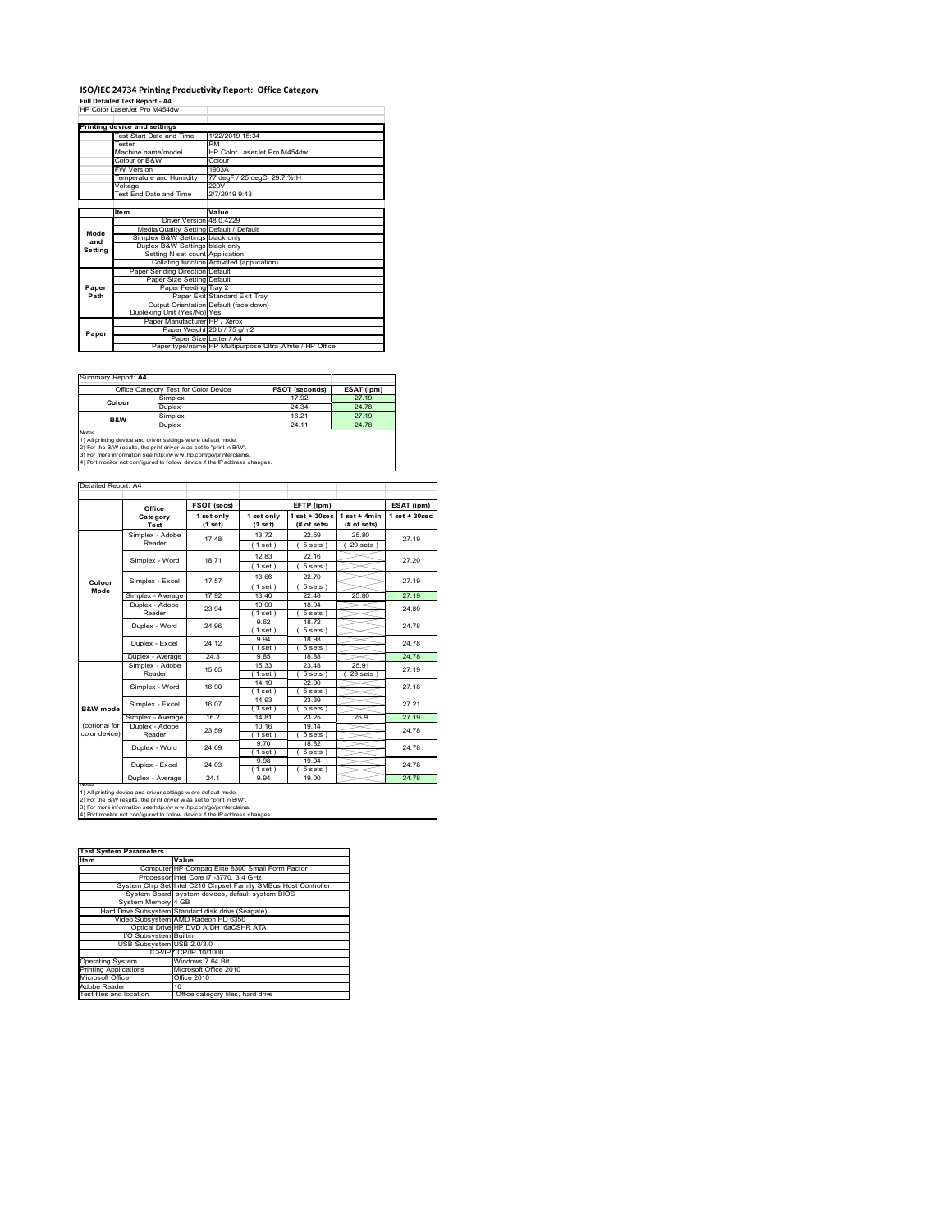# **ISO/IEC 24734 Printing Productivity Report: Office Category<br>Full Detailed Test Report - A4<br>HP Color LaserJet Pro M454dw**

|         | ווו טטוטו במסטוטטנו וט ואודט־דע או      |                                                         |  |
|---------|-----------------------------------------|---------------------------------------------------------|--|
|         | Printing device and settings            |                                                         |  |
|         | Test Start Date and Time                | 1/22/2019 15:34                                         |  |
|         | Tester                                  | RM                                                      |  |
|         |                                         |                                                         |  |
|         | Machine name/model                      | HP Color LaserJet Pro M454dw                            |  |
|         | Colour or B&W                           | Colour                                                  |  |
|         | <b>FW Version</b>                       | 1903A                                                   |  |
|         | Temperature and Humidity                | 77 degF / 25 degC 29.7 %rH                              |  |
|         | Voltage                                 | 220V                                                    |  |
|         | Test End Date and Time                  | 2/7/2019 9:43                                           |  |
|         |                                         |                                                         |  |
|         | <b>Item</b>                             | Value                                                   |  |
|         | Driver Version 48.0.4229                |                                                         |  |
| Mode    | Media/Quality Setting Default / Default |                                                         |  |
| and     | Simplex B&W Settings black only         |                                                         |  |
| Setting | Duplex B&W Settings black only          |                                                         |  |
|         | Setting N set count Application         |                                                         |  |
|         |                                         | Collating function Activated (application)              |  |
|         | Paper Sending Direction Default         |                                                         |  |
|         | Paper Size Setting Default              |                                                         |  |
| Paper   | Paper Feeding Tray 2                    |                                                         |  |
| Path    |                                         | Paper Exit Standard Exit Trav                           |  |
|         |                                         | Output Orientation Default (face down)                  |  |
|         | Duplexing Unit (Yes/No) Yes             |                                                         |  |
|         | Paper Manufacturer HP / Xerox           |                                                         |  |
| Paper   |                                         | Paper Weight 20lb / 75 g/m2                             |  |
|         |                                         | Paper Size Letter / A4                                  |  |
|         |                                         | Paper type/name HP Multipurpose Ultra White / HP Office |  |

Summary Report: **A4**

|                                                                            | Office Category Test for Color Device | <b>FSOT (seconds)</b> | ESAT (ipm) |  |  |  |
|----------------------------------------------------------------------------|---------------------------------------|-----------------------|------------|--|--|--|
| Colour                                                                     | Simplex                               | 17.92                 | 27.19      |  |  |  |
|                                                                            | Duplex                                | 24 34                 | 24.78      |  |  |  |
| <b>B&amp;W</b>                                                             | Simplex                               | 16.21                 | 27 19      |  |  |  |
|                                                                            | Duplex<br>24 11                       |                       | 24 78      |  |  |  |
| Notes                                                                      |                                       |                       |            |  |  |  |
| 1) All printing device and driver settings were default mode.              |                                       |                       |            |  |  |  |
| 2) For the B/W results, the print driver was set to "print in B/W".        |                                       |                       |            |  |  |  |
| 3) For more information see http://www.hp.com/go/printerclaims.            |                                       |                       |            |  |  |  |
| 4) Port monitor not configured to follow device if the IP address changes. |                                       |                       |            |  |  |  |

#### Detailed Report: A4

|                                | Office                    | FSOT (secs)           |                       | EFTP (ipm)                     |                               | ESAT (ipm)        |
|--------------------------------|---------------------------|-----------------------|-----------------------|--------------------------------|-------------------------------|-------------------|
|                                | Category<br>Test          | 1 set only<br>(1 set) | 1 set only<br>(1 set) | $1$ set + 30sec<br>(# of sets) | $1$ set + 4min<br>(# of sets) | $1$ set $+30$ sec |
|                                | Simplex - Adobe<br>Reader | 17.48                 | 1372<br>(1 set)       | 22.59<br>$5 sets$ )            | 25.80<br>$29$ sets $)$        | 27.19             |
|                                | Simplex - Word            | 1871                  | 12.83<br>(1 set)      | 22.16<br>$5 sets$ )            |                               | 27 20             |
| Colour                         | Simplex - Excel           | 17.57                 | 13.66<br>(1 set)      | 22.70<br>$5 sets$ )            |                               | 27 19             |
| Mode                           | Simplex - Average         | 17.92                 | 13.40                 | 22.48                          | 25.80                         | 27.19             |
|                                | Duplex - Adobe<br>Reader  | 23.94                 | 10.00<br>(1 set)      | 18.94<br>$5 sets$ )            |                               | 24.80             |
|                                | Duplex - Word             | 24.96                 | 9.62<br>1 set 1       | 18.72<br>$5 sets$ )            |                               | 24.78             |
|                                | Duplex - Excel            | 24 12                 | 9.94<br>1 set)        | 18.98<br>$5 sets$ )            |                               | 24 78             |
|                                | Duplex - Average          | 24.3                  | 9.85                  | 18.88                          |                               | 24.78             |
|                                | Simplex - Adobe<br>Reader | 15.65                 | 15.33<br>$1$ set)     | 23.48<br>5 sets                | 25.91<br>29 sets              | 27 19             |
|                                | Simplex - Word            | 16.90                 | 14.19<br>(1 set)      | 22.90<br>$5 sets$ )            |                               | 27.18             |
| B&W mode                       | Simplex - Excel           | 16.07                 | 14.93<br>(1 set)      | 23.39<br>5 sets)               |                               | 27.21             |
|                                | Simplex - Average         | 162                   | 14 81                 | 23 25                          | 25.9                          | 27 19             |
| (optional for<br>color device) | Duplex - Adobe<br>Reader  | 23.59                 | 10.16<br>(1 set)      | 19.14<br>5 sets)               |                               | 24 78             |
|                                | Duplex - Word             | 24 69                 | 9.70<br>(1 set)       | 18.82<br>$5 sets$ )            |                               | 24.78             |
|                                | Duplex - Excel            | 24 03                 | 9.98<br>$1$ set)      | 19.04<br>5 sets)               |                               | 24 78             |
|                                | Duplex - Average          | 24.1                  | 9 9 4                 | 19.00                          |                               | 24.78             |

2) For the B/W results, the print driver w as set to "print in B/W".<br>3) For more information see http://w w v.hp.com/go/printerclaims.<br>4) Port monitor not configured to follow device if the IP address changes.

#### **Test System Parameters**

| Item                         | Value                                                           |
|------------------------------|-----------------------------------------------------------------|
|                              | Computer HP Compaq Elite 8300 Small Form Factor                 |
|                              | Processor Intel Core i7 -3770, 3.4 GHz                          |
|                              | System Chip Set Intel C216 Chipset Family SMBus Host Controller |
|                              | System Board system devices, default system BIOS                |
| System Memory 4 GB           |                                                                 |
|                              | Hard Drive Subsystem Standard disk drive (Seagate)              |
|                              | Video Subsystem AMD Radeon HD 6350                              |
|                              | Optical Drive HP DVD A DH16aCSHR ATA                            |
| I/O Subsystem Builtin        |                                                                 |
| USB Subsystem USB 2.0/3.0    |                                                                 |
|                              | TCP/IP TCP/IP 10/1000                                           |
| <b>Operating System</b>      | Windows 7 64 Bit                                                |
| <b>Printing Applications</b> | Microsoft Office 2010                                           |
| Microsoft Office             | Office 2010                                                     |
| Adobe Reader                 | 10                                                              |
| Test files and location      | Office category files, hard drive                               |
|                              |                                                                 |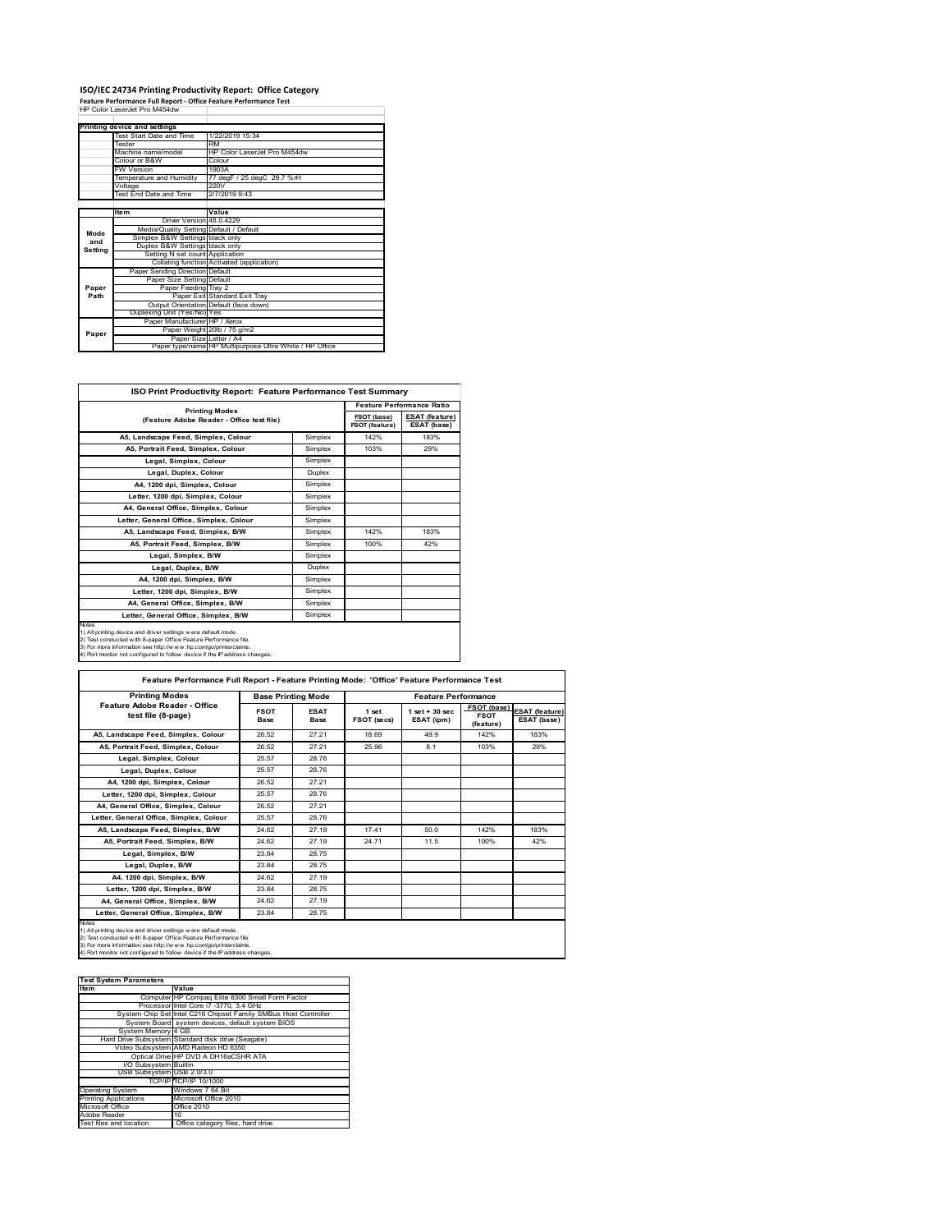## **ISO/IEC 24734 Printing Productivity Report: Office Category Feature Performance Full Report ‐ Office Feature Performance Test** HP Color LaserJet Pro M454dw

|         | Printing device and settings            |                                                         |  |  |
|---------|-----------------------------------------|---------------------------------------------------------|--|--|
|         | Test Start Date and Time                | 1/22/2019 15:34                                         |  |  |
|         | <b>Tester</b>                           | <b>RM</b>                                               |  |  |
|         | Machine name/model                      | HP Color Laser let Pro M454dw                           |  |  |
|         | Colour or B&W                           | Colour                                                  |  |  |
|         | <b>FW Version</b>                       | 1903A                                                   |  |  |
|         | Temperature and Humidity                | 77 degF / 25 degC 29.7 %rH                              |  |  |
|         | Voltage                                 | 220V                                                    |  |  |
|         | Test End Date and Time                  | 2/7/2019 9:43                                           |  |  |
|         |                                         |                                                         |  |  |
|         | <b>Item</b>                             | Value                                                   |  |  |
|         | Driver Version 48 0 4229                |                                                         |  |  |
| Mode    | Media/Quality Setting Default / Default |                                                         |  |  |
| and     | Simplex B&W Settings black only         |                                                         |  |  |
| Setting | Duplex B&W Settings black only          |                                                         |  |  |
|         | Setting N set count Application         |                                                         |  |  |
|         |                                         | Collating function Activated (application)              |  |  |
|         | Paper Sending Direction Default         |                                                         |  |  |
|         | Paper Size Setting Default              |                                                         |  |  |
| Paper   | Paper Feeding Trav 2                    |                                                         |  |  |
| Path    |                                         | Paper Exit Standard Exit Tray                           |  |  |
|         |                                         | Output Orientation Default (face down)                  |  |  |
|         | Duplexing Unit (Yes/No) Yes             |                                                         |  |  |
|         | Paper Manufacturer HP / Xerox           |                                                         |  |  |
| Paper   |                                         | Paper Weight 20lb / 75 g/m2                             |  |  |
|         | Paper Size Letter / A4                  |                                                         |  |  |
|         |                                         | Paper type/name HP Multipurpose Ultra White / HP Office |  |  |

٦

| ISO Print Productivity Report: Feature Performance Test Summary                                                                                                                                                                                                                                   |         |                               |                                      |  |  |  |
|---------------------------------------------------------------------------------------------------------------------------------------------------------------------------------------------------------------------------------------------------------------------------------------------------|---------|-------------------------------|--------------------------------------|--|--|--|
|                                                                                                                                                                                                                                                                                                   |         |                               | <b>Feature Performance Ratio</b>     |  |  |  |
| <b>Printing Modes</b><br>(Feature Adobe Reader - Office test file)                                                                                                                                                                                                                                |         | FSOT (base)<br>FSOT (feature) | <b>ESAT</b> (feature)<br>ESAT (base) |  |  |  |
| A5. Landscape Feed. Simplex. Colour                                                                                                                                                                                                                                                               | Simplex | 142%                          | 183%                                 |  |  |  |
| A5, Portrait Feed, Simplex, Colour                                                                                                                                                                                                                                                                | Simplex | 103%                          | 29%                                  |  |  |  |
| Legal, Simplex, Colour                                                                                                                                                                                                                                                                            | Simplex |                               |                                      |  |  |  |
| Legal, Duplex, Colour                                                                                                                                                                                                                                                                             | Duplex  |                               |                                      |  |  |  |
| A4. 1200 dpi. Simplex. Colour                                                                                                                                                                                                                                                                     | Simplex |                               |                                      |  |  |  |
| Letter, 1200 dpi, Simplex, Colour                                                                                                                                                                                                                                                                 | Simplex |                               |                                      |  |  |  |
| A4, General Office, Simplex, Colour                                                                                                                                                                                                                                                               | Simplex |                               |                                      |  |  |  |
| Letter, General Office, Simplex, Colour                                                                                                                                                                                                                                                           | Simplex |                               |                                      |  |  |  |
| A5. Landscape Feed. Simplex, B/W                                                                                                                                                                                                                                                                  | Simplex | 142%                          | 183%                                 |  |  |  |
| A5, Portrait Feed, Simplex, B/W                                                                                                                                                                                                                                                                   | Simplex | 100%                          | 42%                                  |  |  |  |
| Legal, Simplex, B/W                                                                                                                                                                                                                                                                               | Simplex |                               |                                      |  |  |  |
| Legal, Duplex, B/W                                                                                                                                                                                                                                                                                | Duplex  |                               |                                      |  |  |  |
| A4, 1200 dpi, Simplex, B/W                                                                                                                                                                                                                                                                        | Simplex |                               |                                      |  |  |  |
| Letter, 1200 dpi, Simplex, B/W                                                                                                                                                                                                                                                                    | Simplex |                               |                                      |  |  |  |
| A4. General Office. Simplex. B/W                                                                                                                                                                                                                                                                  | Simplex |                               |                                      |  |  |  |
| Letter, General Office, Simplex, B/W                                                                                                                                                                                                                                                              | Simplex |                               |                                      |  |  |  |
| <b>Notes</b><br>1) All printing device and driver settings were default mode.<br>2) Test conducted with 8-paper Office Feature Performance file.<br>3) For more information see http://www.hp.com/go/printerclaims.<br>4) Port monitor not configured to follow device if the IP address changes. |         |                               |                                      |  |  |  |

| <b>Printing Modes</b>                               |                     | <b>Base Printing Mode</b> | <b>Feature Performance</b> |                                  |                                                |                                      |
|-----------------------------------------------------|---------------------|---------------------------|----------------------------|----------------------------------|------------------------------------------------|--------------------------------------|
| Feature Adobe Reader - Office<br>test file (8-page) | <b>FSOT</b><br>Base | <b>ESAT</b><br>Base       | 1 set<br>FSOT (secs)       | $1$ set $+30$ sec.<br>ESAT (ipm) | <b>FSOT</b> (base)<br><b>FSOT</b><br>(feature) | <b>ESAT (feature)</b><br>ESAT (base) |
| A5, Landscape Feed, Simplex, Colour                 | 26.52               | 27.21                     | 18.69                      | 49.9                             | 142%                                           | 183%                                 |
| A5, Portrait Feed, Simplex, Colour                  | 26.52               | 27.21                     | 25.96                      | 8.1                              | 103%                                           | 29%                                  |
| Legal, Simplex, Colour                              | 25.57               | 28.76                     |                            |                                  |                                                |                                      |
| Legal, Duplex, Colour                               | 25.57               | 28.76                     |                            |                                  |                                                |                                      |
| A4, 1200 dpi, Simplex, Colour                       | 26.52               | 27.21                     |                            |                                  |                                                |                                      |
| Letter, 1200 dpi, Simplex, Colour                   | 25.57               | 28.76                     |                            |                                  |                                                |                                      |
| A4, General Office, Simplex, Colour                 | 26.52               | 27.21                     |                            |                                  |                                                |                                      |
| Letter, General Office, Simplex, Colour             | 25.57               | 28.76                     |                            |                                  |                                                |                                      |
| A5. Landscape Feed. Simplex. B/W                    | 24.62               | 27.19                     | 17.41                      | 50.0                             | 142%                                           | 183%                                 |
| A5. Portrait Feed. Simplex. B/W                     | 24.62               | 27.19                     | 24.71                      | 11.5                             | 100%                                           | 42%                                  |
| Legal, Simplex, B/W                                 | 23.84               | 28.75                     |                            |                                  |                                                |                                      |
| Legal, Duplex, B/W                                  | 23.84               | 28.75                     |                            |                                  |                                                |                                      |
| A4, 1200 dpi, Simplex, B/W                          | 24.62               | 27.19                     |                            |                                  |                                                |                                      |
| Letter, 1200 dpi, Simplex, B/W                      | 23.84               | 28.75                     |                            |                                  |                                                |                                      |
| A4. General Office. Simplex. B/W                    | 24.62               | 27.19                     |                            |                                  |                                                |                                      |
| Letter, General Office, Simplex, B/W                | 23.84               | 28.75                     |                            |                                  |                                                |                                      |

2) Test conducted with 8-paper Office Feature Performance file<br>3) For more information see http://w w w .hp.com/go/printerclaims.<br>4) Port monitor not configured to follow device if the IP address changes.

#### **Test System Parameters**

| <b>Item</b>                  | Value                                                           |
|------------------------------|-----------------------------------------------------------------|
|                              | Computer HP Compag Elite 8300 Small Form Factor                 |
|                              | Processor Intel Core i7 -3770, 3.4 GHz                          |
|                              | System Chip Set Intel C216 Chipset Family SMBus Host Controller |
|                              | System Board system devices, default system BIOS                |
| System Memory 4 GB           |                                                                 |
|                              | Hard Drive Subsystem Standard disk drive (Seagate)              |
|                              | Video Subsystem AMD Radeon HD 6350                              |
|                              | Optical Drive HP DVD A DH16aCSHR ATA                            |
| I/O Subsystem Builtin        |                                                                 |
| USB Subsystem USB 2.0/3.0    |                                                                 |
|                              | TCP/IP/TCP/IP 10/1000                                           |
| <b>Operating System</b>      | Windows 7 64 Bit                                                |
| <b>Printing Applications</b> | Microsoft Office 2010                                           |
| Microsoft Office             | Office 2010                                                     |
| Adobe Reader                 | 10                                                              |
|                              | $\sim$ $\sim$ $\sim$ $\sim$ $\sim$ $\sim$ $\sim$ $\sim$         |

and location Office can office category of  $\overline{O}$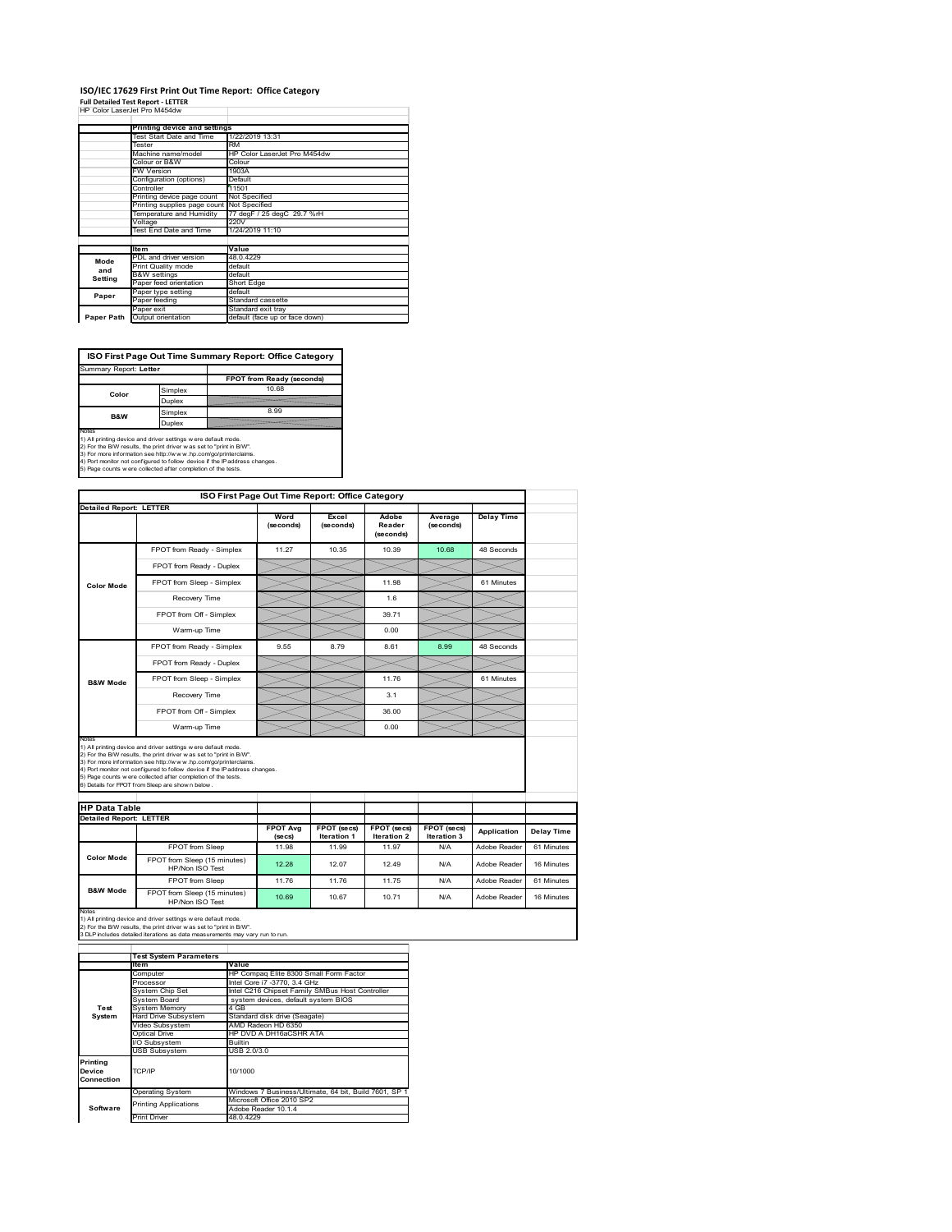#### **ISO/IEC 17629 First Print Out Time Report: Office Category Full Detailed Test Report ‐ LETTER**

| HP Color LaserJet Pro M454dw |  |
|------------------------------|--|

|            | Printing device and settings               |                                |
|------------|--------------------------------------------|--------------------------------|
|            | Test Start Date and Time                   | 1/22/2019 13:31                |
|            | Tester                                     | RM                             |
|            | Machine name/model                         | HP Color LaserJet Pro M454dw   |
|            | Colour or B&W                              | Colour                         |
|            | <b>FW Version</b>                          | 1903A                          |
|            | Configuration (options)                    | Default                        |
|            | Controller                                 | 11501                          |
|            | Printing device page count                 | Not Specified                  |
|            | Printing supplies page count Not Specified |                                |
|            | Temperature and Humidity                   | 77 degF / 25 degC 29.7 %rH     |
|            | Voltage                                    | 220V                           |
|            | Test End Date and Time                     | 1/24/2019 11:10                |
|            |                                            |                                |
|            | <b>Item</b>                                | Value                          |
| Mode       | PDL and driver version                     | 48.0.4229                      |
| and        | Print Quality mode                         | default                        |
| Setting    | <b>B&amp;W</b> settings                    | default                        |
|            | Paper feed orientation                     | Short Edge                     |
| Paper      | Paper type setting                         | default                        |
|            | Paper feeding                              | Standard cassette              |
|            | Paper exit                                 | Standard exit tray             |
| Paper Path | Output orientation                         | default (face up or face down) |

**ISO First Page Out Time Summary Report: Office Category**

| Summary Report: Letter                                                                                                                                                                                            |               |                                                                            |
|-------------------------------------------------------------------------------------------------------------------------------------------------------------------------------------------------------------------|---------------|----------------------------------------------------------------------------|
|                                                                                                                                                                                                                   |               | FPOT from Ready (seconds)                                                  |
| Color                                                                                                                                                                                                             | Simplex       | 10.68                                                                      |
|                                                                                                                                                                                                                   | Duplex        |                                                                            |
| <b>B&amp;W</b>                                                                                                                                                                                                    | Simplex       | 8.99                                                                       |
|                                                                                                                                                                                                                   | <b>Duplex</b> |                                                                            |
| Notes<br>1) All printing device and driver settings w ere default mode.<br>2) For the B/W results, the print driver was set to "print in B/W".<br>3) For more information see http://www.hp.com/go/printerclaims. |               | 4) Port monitor not configured to follow device if the IP address changes. |
| 5) Page counts w ere collected after completion of the tests.                                                                                                                                                     |               |                                                                            |

| ISO First Page Out Time Report: Office Category |                                                                                                                                                                                                                                                                                                                                                                                                             |                            |                                   |                                   |                            |                   |  |
|-------------------------------------------------|-------------------------------------------------------------------------------------------------------------------------------------------------------------------------------------------------------------------------------------------------------------------------------------------------------------------------------------------------------------------------------------------------------------|----------------------------|-----------------------------------|-----------------------------------|----------------------------|-------------------|--|
| <b>Detailed Report: LETTER</b>                  |                                                                                                                                                                                                                                                                                                                                                                                                             | Word<br>(seconds)          | Excel<br>(seconds)                | Adobe<br>Reader<br>(seconds)      | Average<br>(seconds)       | <b>Delay Time</b> |  |
|                                                 | FPOT from Ready - Simplex                                                                                                                                                                                                                                                                                                                                                                                   | 11.27                      | 10.35                             | 10.39                             | 10.68                      | 48 Seconds        |  |
|                                                 | FPOT from Ready - Duplex                                                                                                                                                                                                                                                                                                                                                                                    |                            |                                   |                                   |                            |                   |  |
| <b>Color Mode</b>                               | FPOT from Sleep - Simplex                                                                                                                                                                                                                                                                                                                                                                                   |                            |                                   | 11.98                             |                            | 61 Minutes        |  |
|                                                 | Recovery Time                                                                                                                                                                                                                                                                                                                                                                                               |                            |                                   | 1.6                               |                            |                   |  |
|                                                 | FPOT from Off - Simplex                                                                                                                                                                                                                                                                                                                                                                                     |                            |                                   | 39 71                             |                            |                   |  |
|                                                 | Warm-up Time                                                                                                                                                                                                                                                                                                                                                                                                |                            |                                   | 0.00                              |                            |                   |  |
|                                                 | FPOT from Ready - Simplex                                                                                                                                                                                                                                                                                                                                                                                   | 9.55                       | 8.79                              | 8.61                              | 8.99                       | 48 Seconds        |  |
|                                                 | FPOT from Ready - Duplex                                                                                                                                                                                                                                                                                                                                                                                    |                            |                                   |                                   |                            |                   |  |
| <b>B&amp;W Mode</b>                             | FPOT from Sleep - Simplex                                                                                                                                                                                                                                                                                                                                                                                   |                            |                                   | 11.76                             |                            | 61 Minutes        |  |
|                                                 |                                                                                                                                                                                                                                                                                                                                                                                                             |                            |                                   |                                   |                            |                   |  |
|                                                 | Recovery Time                                                                                                                                                                                                                                                                                                                                                                                               |                            |                                   | 3.1                               |                            |                   |  |
|                                                 | FPOT from Off - Simplex                                                                                                                                                                                                                                                                                                                                                                                     |                            |                                   | 36.00                             |                            |                   |  |
| Notes                                           | Warm-up Time                                                                                                                                                                                                                                                                                                                                                                                                |                            |                                   | 0.00                              |                            |                   |  |
| <b>HP Data Table</b>                            | 1) All printing device and driver settings w ere default mode.<br>2) For the B/W results, the print driver was set to "print in B/W".<br>3) For more information see http://www.hp.com/go/printerclaims.<br>4) Port monitor not configured to follow device if the IP address changes.<br>5) Page counts w ere collected after completion of the tests.<br>6) Details for FPOT from Sleep are show n below. |                            |                                   |                                   |                            |                   |  |
|                                                 |                                                                                                                                                                                                                                                                                                                                                                                                             |                            |                                   |                                   |                            |                   |  |
| <b>Detailed Report: LETTER</b>                  |                                                                                                                                                                                                                                                                                                                                                                                                             | <b>FPOT Avg</b><br>(se cs) | FPOT (secs)<br><b>Iteration 1</b> | FPOT (secs)<br><b>Iteration 2</b> | FPOT (secs)<br>Iteration 3 | Application       |  |
|                                                 | FPOT from Sleep                                                                                                                                                                                                                                                                                                                                                                                             | 11.98                      | 11.99                             | 11.97                             | N/A                        | Adobe Reader      |  |
| <b>Color Mode</b>                               | FPOT from Sleep (15 minutes)<br>HP/Non ISO Test                                                                                                                                                                                                                                                                                                                                                             | 12.28                      | 12.07                             | 12.49                             | N/A                        | Adobe Reader      |  |
| <b>B&amp;W Mode</b>                             | FPOT from Sleep                                                                                                                                                                                                                                                                                                                                                                                             | 11.76                      | 11.76                             | 11.75                             | N/A                        | Adobe Reader      |  |

Notes<br>1) All printing device and driver settings w ere default mode.<br>2) For the B/W results, the print driver w as set to "print in B/W".<br>3 DLP includes detailed iterations as data measurements may vary run to run.

|            | <b>Test System Parameters</b> |                                                       |
|------------|-------------------------------|-------------------------------------------------------|
|            | <b>Item</b>                   | Value                                                 |
|            | Computer                      | HP Compaq Elite 8300 Small Form Factor                |
|            | Processor                     | Intel Core i7 -3770, 3.4 GHz                          |
|            | System Chip Set               | Intel C216 Chipset Family SMBus Host Controller       |
|            | System Board                  | system devices, default system BIOS                   |
| Test       | <b>System Memory</b>          | 4 GB                                                  |
| System     | <b>Hard Drive Subsystem</b>   | Standard disk drive (Seagate)                         |
|            | Video Subsystem               | AMD Radeon HD 6350                                    |
|            | Optical Drive                 | HP DVD A DH16aCSHR ATA                                |
|            | I/O Subsystem                 | <b>Builtin</b>                                        |
|            | <b>USB Subsystem</b>          | USB 2.0/3.0                                           |
| Printing   |                               |                                                       |
| Device     | TCP/IP                        | 10/1000                                               |
| Connection |                               |                                                       |
|            | <b>Operating System</b>       | Windows 7 Business/Ultimate, 64 bit, Build 7601, SP 1 |
|            | <b>Printing Applications</b>  | Microsoft Office 2010 SP2                             |
| Software   |                               | Adobe Reader 10.1.4                                   |
|            | <b>Print Driver</b>           | 48.0.4229                                             |